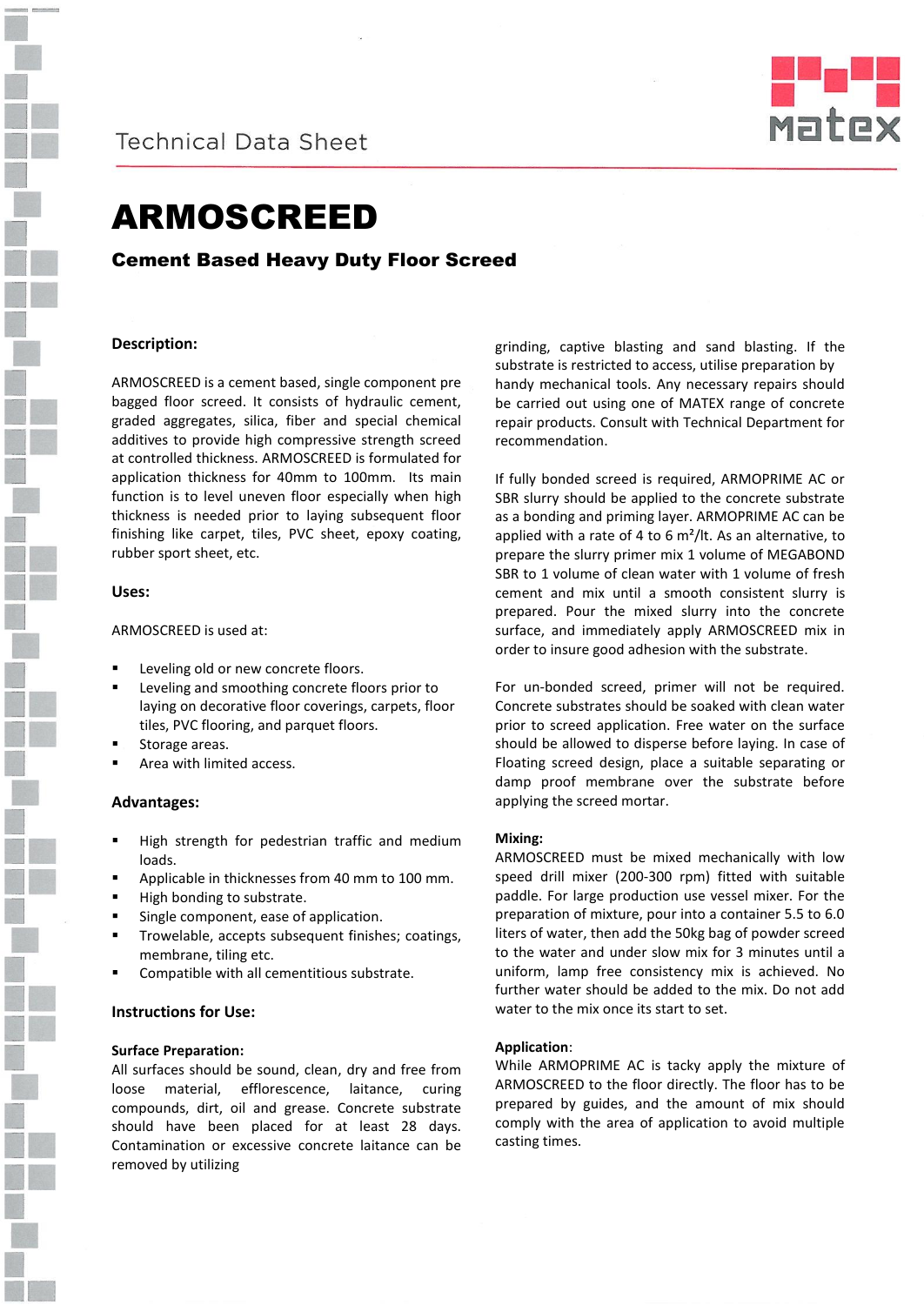

**Technical Data Sheet** 



# ARMOSCREED

## Cement Based Heavy Duty Floor Screed

## **Description:**

ARMOSCREED is a cement based, single component pre bagged floor screed. It consists of hydraulic cement, graded aggregates, silica, fiber and special chemical additives to provide high compressive strength screed at controlled thickness. ARMOSCREED is formulated for application thickness for 40mm to 100mm. Its main function is to level uneven floor especially when high thickness is needed prior to laying subsequent floor finishing like carpet, tiles, PVC sheet, epoxy coating, rubber sport sheet, etc.

### **Uses:**

### ARMOSCREED is used at:

- Leveling old or new concrete floors.
- Leveling and smoothing concrete floors prior to laying on decorative floor coverings, carpets, floor tiles, PVC flooring, and parquet floors.
- Storage areas.
- Area with limited access.

## **Advantages:**

- High strength for pedestrian traffic and medium loads.
- Applicable in thicknesses from 40 mm to 100 mm.
- High bonding to substrate.
- Single component, ease of application.
- Trowelable, accepts subsequent finishes; coatings, membrane, tiling etc.
- Compatible with all cementitious substrate.

## **Instructions for Use:**

### **Surface Preparation:**

All surfaces should be sound, clean, dry and free from loose material, efflorescence, laitance, curing compounds, dirt, oil and grease. Concrete substrate should have been placed for at least 28 days. Contamination or excessive concrete laitance can be removed by utilizing

grinding, captive blasting and sand blasting. If the substrate is restricted to access, utilise preparation by handy mechanical tools. Any necessary repairs should be carried out using one of MATEX range of concrete repair products. Consult with Technical Department for recommendation.

If fully bonded screed is required, ARMOPRIME AC or SBR slurry should be applied to the concrete substrate as a bonding and priming layer. ARMOPRIME AC can be applied with a rate of 4 to 6 m²/lt. As an alternative, to prepare the slurry primer mix 1 volume of MEGABOND SBR to 1 volume of clean water with 1 volume of fresh cement and mix until a smooth consistent slurry is prepared. Pour the mixed slurry into the concrete surface, and immediately apply ARMOSCREED mix in order to insure good adhesion with the substrate.

For un-bonded screed, primer will not be required. Concrete substrates should be soaked with clean water prior to screed application. Free water on the surface should be allowed to disperse before laying. In case of Floating screed design, place a suitable separating or damp proof membrane over the substrate before applying the screed mortar.

### **Mixing:**

ARMOSCREED must be mixed mechanically with low speed drill mixer (200-300 rpm) fitted with suitable paddle. For large production use vessel mixer. For the preparation of mixture, pour into a container 5.5 to 6.0 liters of water, then add the 50kg bag of powder screed to the water and under slow mix for 3 minutes until a uniform, lamp free consistency mix is achieved. No further water should be added to the mix. Do not add water to the mix once its start to set.

### **Application**:

While ARMOPRIME AC is tacky apply the mixture of ARMOSCREED to the floor directly. The floor has to be prepared by guides, and the amount of mix should comply with the area of application to avoid multiple casting times.